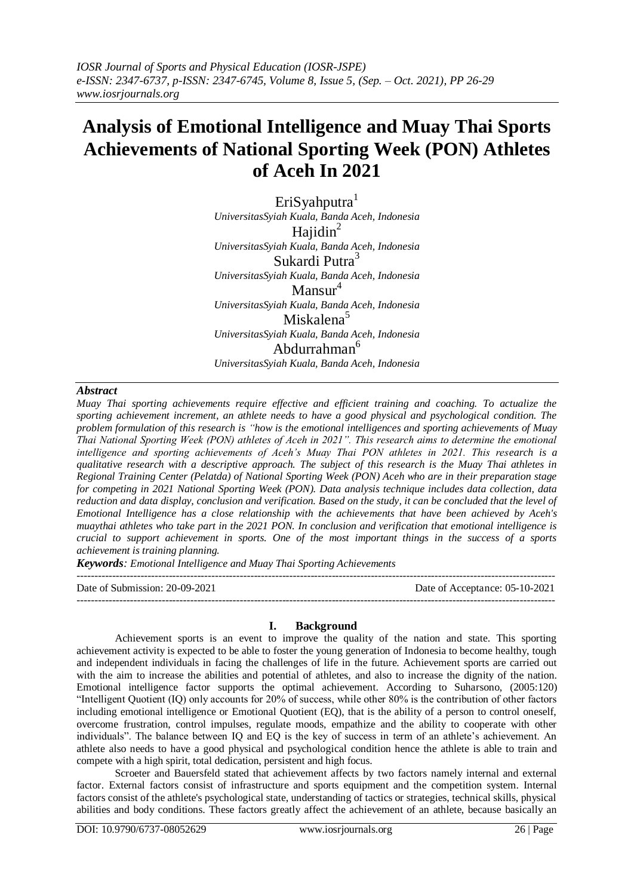# **Analysis of Emotional Intelligence and Muay Thai Sports Achievements of National Sporting Week (PON) Athletes of Aceh In 2021**

 $EriS$ yahputra<sup>1</sup> *UniversitasSyiah Kuala, Banda Aceh, Indonesia* Hajidin $2$ *UniversitasSyiah Kuala, Banda Aceh, Indonesia* Sukardi Putra<sup>3</sup> *UniversitasSyiah Kuala, Banda Aceh, Indonesia* Mansur<sup>4</sup> *UniversitasSyiah Kuala, Banda Aceh, Indonesia* Miskalena<sup>5</sup> *UniversitasSyiah Kuala, Banda Aceh, Indonesia* Abdurrahman<sup>6</sup> *UniversitasSyiah Kuala, Banda Aceh, Indonesia*

#### *Abstract*

*Muay Thai sporting achievements require effective and efficient training and coaching. To actualize the sporting achievement increment, an athlete needs to have a good physical and psychological condition. The problem formulation of this research is "how is the emotional intelligences and sporting achievements of Muay Thai National Sporting Week (PON) athletes of Aceh in 2021". This research aims to determine the emotional intelligence and sporting achievements of Aceh's Muay Thai PON athletes in 2021. This research is a qualitative research with a descriptive approach. The subject of this research is the Muay Thai athletes in Regional Training Center (Pelatda) of National Sporting Week (PON) Aceh who are in their preparation stage for competing in 2021 National Sporting Week (PON). Data analysis technique includes data collection, data reduction and data display, conclusion and verification. Based on the study, it can be concluded that the level of Emotional Intelligence has a close relationship with the achievements that have been achieved by Aceh's muaythai athletes who take part in the 2021 PON. In conclusion and verification that emotional intelligence is crucial to support achievement in sports. One of the most important things in the success of a sports achievement is training planning.*

*Keywords: Emotional Intelligence and Muay Thai Sporting Achievements*

Date of Submission: 20-09-2021 Date of Acceptance: 05-10-2021

---------------------------------------------------------------------------------------------------------------------------------------

#### **I. Background**

---------------------------------------------------------------------------------------------------------------------------------------

Achievement sports is an event to improve the quality of the nation and state. This sporting achievement activity is expected to be able to foster the young generation of Indonesia to become healthy, tough and independent individuals in facing the challenges of life in the future. Achievement sports are carried out with the aim to increase the abilities and potential of athletes, and also to increase the dignity of the nation. Emotional intelligence factor supports the optimal achievement. According to Suharsono, (2005:120) "Intelligent Quotient (IQ) only accounts for 20% of success, while other 80% is the contribution of other factors including emotional intelligence or Emotional Quotient (EQ), that is the ability of a person to control oneself, overcome frustration, control impulses, regulate moods, empathize and the ability to cooperate with other individuals". The balance between IQ and EQ is the key of success in term of an athlete's achievement. An athlete also needs to have a good physical and psychological condition hence the athlete is able to train and compete with a high spirit, total dedication, persistent and high focus.

Scroeter and Bauersfeld stated that achievement affects by two factors namely internal and external factor. External factors consist of infrastructure and sports equipment and the competition system. Internal factors consist of the athlete's psychological state, understanding of tactics or strategies, technical skills, physical abilities and body conditions. These factors greatly affect the achievement of an athlete, because basically an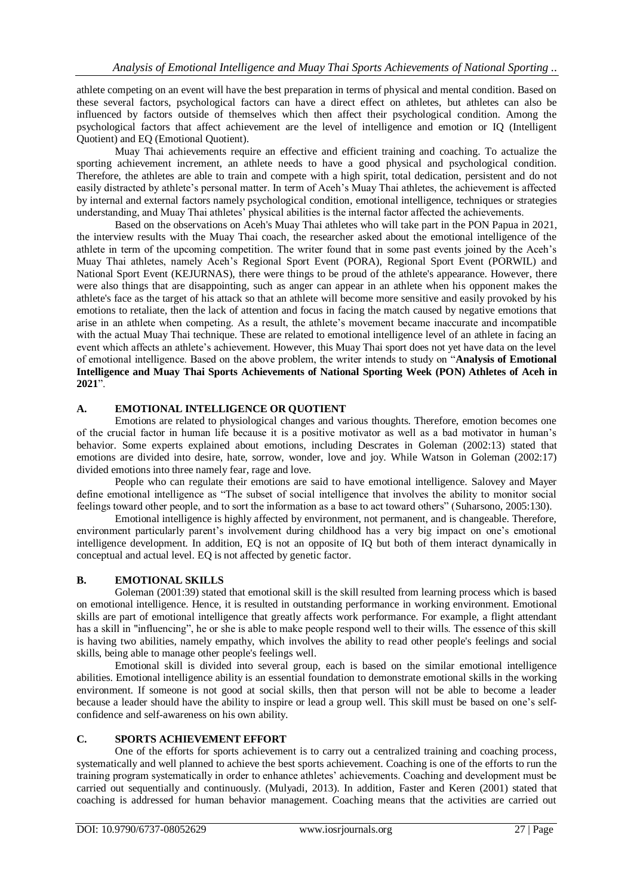athlete competing on an event will have the best preparation in terms of physical and mental condition. Based on these several factors, psychological factors can have a direct effect on athletes, but athletes can also be influenced by factors outside of themselves which then affect their psychological condition. Among the psychological factors that affect achievement are the level of intelligence and emotion or IQ (Intelligent Quotient) and EQ (Emotional Quotient).

Muay Thai achievements require an effective and efficient training and coaching. To actualize the sporting achievement increment, an athlete needs to have a good physical and psychological condition. Therefore, the athletes are able to train and compete with a high spirit, total dedication, persistent and do not easily distracted by athlete's personal matter. In term of Aceh's Muay Thai athletes, the achievement is affected by internal and external factors namely psychological condition, emotional intelligence, techniques or strategies understanding, and Muay Thai athletes' physical abilities is the internal factor affected the achievements.

Based on the observations on Aceh's Muay Thai athletes who will take part in the PON Papua in 2021, the interview results with the Muay Thai coach, the researcher asked about the emotional intelligence of the athlete in term of the upcoming competition. The writer found that in some past events joined by the Aceh's Muay Thai athletes, namely Aceh's Regional Sport Event (PORA), Regional Sport Event (PORWIL) and National Sport Event (KEJURNAS), there were things to be proud of the athlete's appearance. However, there were also things that are disappointing, such as anger can appear in an athlete when his opponent makes the athlete's face as the target of his attack so that an athlete will become more sensitive and easily provoked by his emotions to retaliate, then the lack of attention and focus in facing the match caused by negative emotions that arise in an athlete when competing. As a result, the athlete's movement became inaccurate and incompatible with the actual Muay Thai technique. These are related to emotional intelligence level of an athlete in facing an event which affects an athlete's achievement. However, this Muay Thai sport does not yet have data on the level of emotional intelligence. Based on the above problem, the writer intends to study on "**Analysis of Emotional Intelligence and Muay Thai Sports Achievements of National Sporting Week (PON) Athletes of Aceh in 2021**".

### **A. EMOTIONAL INTELLIGENCE OR QUOTIENT**

Emotions are related to physiological changes and various thoughts. Therefore, emotion becomes one of the crucial factor in human life because it is a positive motivator as well as a bad motivator in human's behavior. Some experts explained about emotions, including Descrates in Goleman (2002:13) stated that emotions are divided into desire, hate, sorrow, wonder, love and joy. While Watson in Goleman (2002:17) divided emotions into three namely fear, rage and love.

People who can regulate their emotions are said to have emotional intelligence. Salovey and Mayer define emotional intelligence as "The subset of social intelligence that involves the ability to monitor social feelings toward other people, and to sort the information as a base to act toward others" (Suharsono, 2005:130).

Emotional intelligence is highly affected by environment, not permanent, and is changeable. Therefore, environment particularly parent's involvement during childhood has a very big impact on one's emotional intelligence development. In addition, EQ is not an opposite of IQ but both of them interact dynamically in conceptual and actual level. EQ is not affected by genetic factor.

### **B. EMOTIONAL SKILLS**

Goleman (2001:39) stated that emotional skill is the skill resulted from learning process which is based on emotional intelligence. Hence, it is resulted in outstanding performance in working environment. Emotional skills are part of emotional intelligence that greatly affects work performance. For example, a flight attendant has a skill in "influencing", he or she is able to make people respond well to their wills. The essence of this skill is having two abilities, namely empathy, which involves the ability to read other people's feelings and social skills, being able to manage other people's feelings well.

Emotional skill is divided into several group, each is based on the similar emotional intelligence abilities. Emotional intelligence ability is an essential foundation to demonstrate emotional skills in the working environment. If someone is not good at social skills, then that person will not be able to become a leader because a leader should have the ability to inspire or lead a group well. This skill must be based on one's selfconfidence and self-awareness on his own ability.

## **C. SPORTS ACHIEVEMENT EFFORT**

One of the efforts for sports achievement is to carry out a centralized training and coaching process, systematically and well planned to achieve the best sports achievement. Coaching is one of the efforts to run the training program systematically in order to enhance athletes' achievements. Coaching and development must be carried out sequentially and continuously. (Mulyadi, 2013). In addition, Faster and Keren (2001) stated that coaching is addressed for human behavior management. Coaching means that the activities are carried out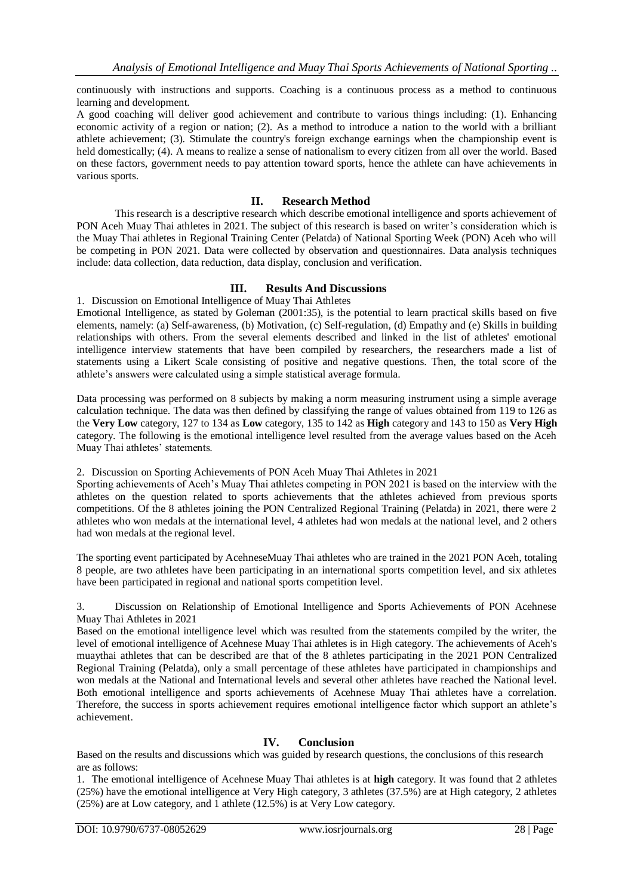continuously with instructions and supports. Coaching is a continuous process as a method to continuous learning and development.

A good coaching will deliver good achievement and contribute to various things including: (1). Enhancing economic activity of a region or nation; (2). As a method to introduce a nation to the world with a brilliant athlete achievement; (3). Stimulate the country's foreign exchange earnings when the championship event is held domestically; (4). A means to realize a sense of nationalism to every citizen from all over the world. Based on these factors, government needs to pay attention toward sports, hence the athlete can have achievements in various sports.

### **II. Research Method**

This research is a descriptive research which describe emotional intelligence and sports achievement of PON Aceh Muay Thai athletes in 2021. The subject of this research is based on writer's consideration which is the Muay Thai athletes in Regional Training Center (Pelatda) of National Sporting Week (PON) Aceh who will be competing in PON 2021. Data were collected by observation and questionnaires. Data analysis techniques include: data collection, data reduction, data display, conclusion and verification.

#### **III. Results And Discussions**

1. Discussion on Emotional Intelligence of Muay Thai Athletes

Emotional Intelligence, as stated by Goleman (2001:35), is the potential to learn practical skills based on five elements, namely: (a) Self-awareness, (b) Motivation, (c) Self-regulation, (d) Empathy and (e) Skills in building relationships with others. From the several elements described and linked in the list of athletes' emotional intelligence interview statements that have been compiled by researchers, the researchers made a list of statements using a Likert Scale consisting of positive and negative questions. Then, the total score of the athlete's answers were calculated using a simple statistical average formula.

Data processing was performed on 8 subjects by making a norm measuring instrument using a simple average calculation technique. The data was then defined by classifying the range of values obtained from 119 to 126 as the **Very Low** category, 127 to 134 as **Low** category, 135 to 142 as **High** category and 143 to 150 as **Very High** category. The following is the emotional intelligence level resulted from the average values based on the Aceh Muay Thai athletes' statements.

#### 2. Discussion on Sporting Achievements of PON Aceh Muay Thai Athletes in 2021

Sporting achievements of Aceh's Muay Thai athletes competing in PON 2021 is based on the interview with the athletes on the question related to sports achievements that the athletes achieved from previous sports competitions. Of the 8 athletes joining the PON Centralized Regional Training (Pelatda) in 2021, there were 2 athletes who won medals at the international level, 4 athletes had won medals at the national level, and 2 others had won medals at the regional level.

The sporting event participated by AcehneseMuay Thai athletes who are trained in the 2021 PON Aceh, totaling 8 people, are two athletes have been participating in an international sports competition level, and six athletes have been participated in regional and national sports competition level.

3. Discussion on Relationship of Emotional Intelligence and Sports Achievements of PON Acehnese Muay Thai Athletes in 2021

Based on the emotional intelligence level which was resulted from the statements compiled by the writer, the level of emotional intelligence of Acehnese Muay Thai athletes is in High category. The achievements of Aceh's muaythai athletes that can be described are that of the 8 athletes participating in the 2021 PON Centralized Regional Training (Pelatda), only a small percentage of these athletes have participated in championships and won medals at the National and International levels and several other athletes have reached the National level. Both emotional intelligence and sports achievements of Acehnese Muay Thai athletes have a correlation. Therefore, the success in sports achievement requires emotional intelligence factor which support an athlete's achievement.

## **IV. Conclusion**

Based on the results and discussions which was guided by research questions, the conclusions of this research are as follows:

1. The emotional intelligence of Acehnese Muay Thai athletes is at **high** category. It was found that 2 athletes (25%) have the emotional intelligence at Very High category, 3 athletes (37.5%) are at High category, 2 athletes (25%) are at Low category, and 1 athlete (12.5%) is at Very Low category.